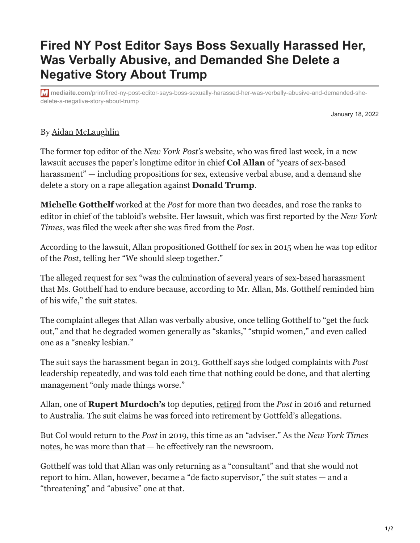## **Fired NY Post Editor Says Boss Sexually Harassed Her, Was Verbally Abusive, and Demanded She Delete a Negative Story About Trump**

**mediaite.com**[/print/fired-ny-post-editor-says-boss-sexually-harassed-her-was-verbally-abusive-and-demanded-she](https://www.mediaite.com/print/fired-ny-post-editor-says-boss-sexually-harassed-her-was-verbally-abusive-and-demanded-she-delete-a-negative-story-about-trump/)delete-a-negative-story-about-trump

January 18, 2022

## By [Aidan McLaughlin](https://www.mediaite.com/author/aidan-mclaughlin/)

The former top editor of the *New York Post's* website, who was fired last week, in a new lawsuit accuses the paper's longtime editor in chief **Col Allan** of "years of sex-based harassment" — including propositions for sex, extensive verbal abuse, and a demand she delete a story on a rape allegation against **Donald Trump**.

**Michelle Gotthelf** worked at the *Post* for more than two decades, and rose the ranks to [editor in chief of the tabloid's website. Her lawsuit, which was first reported by the](https://www.nytimes.com/2022/01/18/business/media/ny-post-discrimination-lawsuit.html) *New York Times*, was filed the week after she was fired from the *Post*.

According to the lawsuit, Allan propositioned Gotthelf for sex in 2015 when he was top editor of the *Post*, telling her "We should sleep together."

The alleged request for sex "was the culmination of several years of sex-based harassment that Ms. Gotthelf had to endure because, according to Mr. Allan, Ms. Gotthelf reminded him of his wife," the suit states.

The complaint alleges that Allan was verbally abusive, once telling Gotthelf to "get the fuck out," and that he degraded women generally as "skanks," "stupid women," and even called one as a "sneaky lesbian."

The suit says the harassment began in 2013. Gotthelf says she lodged complaints with *Post* leadership repeatedly, and was told each time that nothing could be done, and that alerting management "only made things worse."

Allan, one of **Rupert Murdoch's** top deputies, [retired](https://nypost.com/2016/04/14/longtime-post-editor-in-chief-col-allan-is-retiring/) from the *Post* in 2016 and returned to Australia. The suit claims he was forced into retirement by Gottfeld's allegations.

But Col would return to the *Post* in 2019, this time as an "adviser." As the *New York Times* [notes,](https://www.nytimes.com/2022/01/18/business/media/ny-post-discrimination-lawsuit.html) he was more than that — he effectively ran the newsroom.

Gotthelf was told that Allan was only returning as a "consultant" and that she would not report to him. Allan, however, became a "de facto supervisor," the suit states — and a "threatening" and "abusive" one at that.